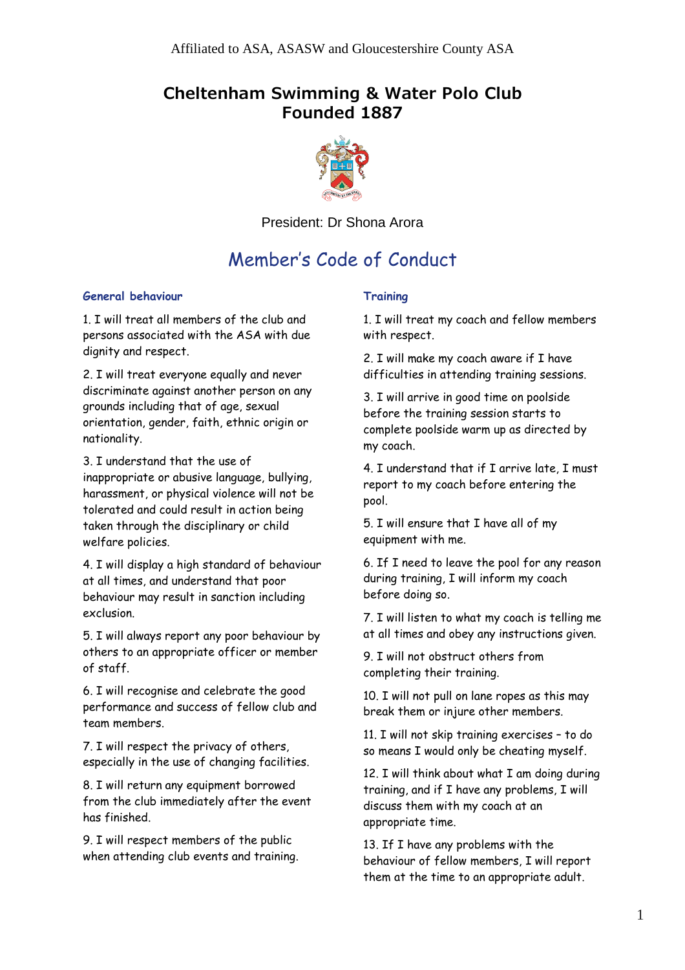## **Cheltenham Swimming & Water Polo Club Founded 1887**



President: Dr Shona Arora

# Member's Code of Conduct

#### **General behaviour**

1. I will treat all members of the club and persons associated with the ASA with due dignity and respect.

2. I will treat everyone equally and never discriminate against another person on any grounds including that of age, sexual orientation, gender, faith, ethnic origin or nationality.

3. I understand that the use of inappropriate or abusive language, bullying, harassment, or physical violence will not be tolerated and could result in action being taken through the disciplinary or child welfare policies.

4. I will display a high standard of behaviour at all times, and understand that poor behaviour may result in sanction including exclusion.

5. I will always report any poor behaviour by others to an appropriate officer or member of staff.

6. I will recognise and celebrate the good performance and success of fellow club and team members.

7. I will respect the privacy of others, especially in the use of changing facilities.

8. I will return any equipment borrowed from the club immediately after the event has finished.

9. I will respect members of the public when attending club events and training.

### **Training**

1. I will treat my coach and fellow members with respect.

2. I will make my coach aware if I have difficulties in attending training sessions.

3. I will arrive in good time on poolside before the training session starts to complete poolside warm up as directed by my coach.

4. I understand that if I arrive late, I must report to my coach before entering the pool.

5. I will ensure that I have all of my equipment with me.

6. If I need to leave the pool for any reason during training, I will inform my coach before doing so.

7. I will listen to what my coach is telling me at all times and obey any instructions given.

9. I will not obstruct others from completing their training.

10. I will not pull on lane ropes as this may break them or injure other members.

11. I will not skip training exercises – to do so means I would only be cheating myself.

12. I will think about what I am doing during training, and if I have any problems, I will discuss them with my coach at an appropriate time.

13. If I have any problems with the behaviour of fellow members, I will report them at the time to an appropriate adult.